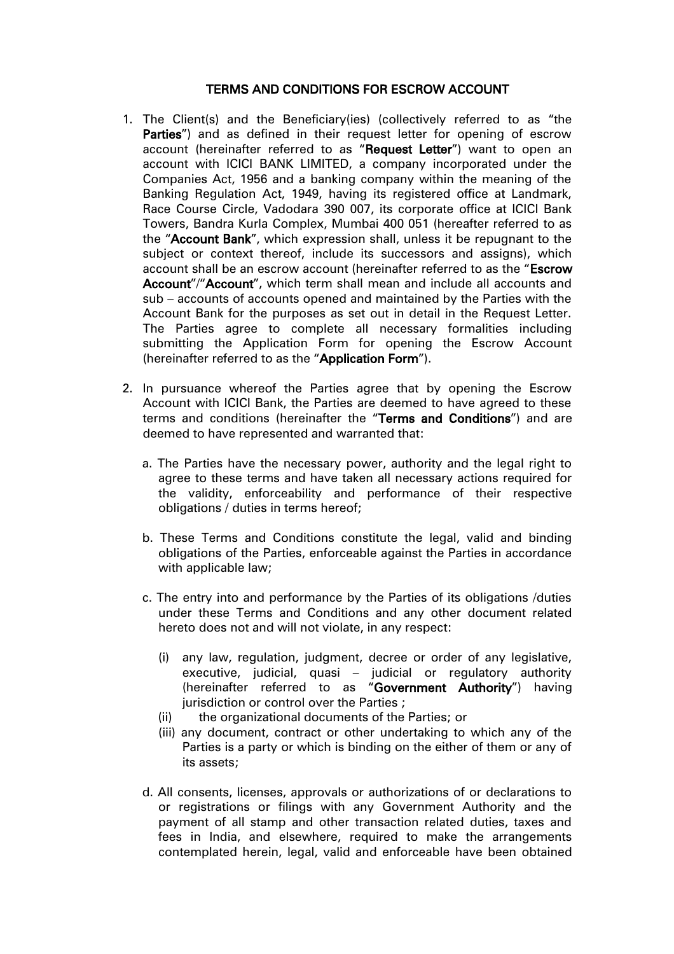## TERMS AND CONDITIONS FOR ESCROW ACCOUNT

- 1. The Client(s) and the Beneficiary(ies) (collectively referred to as "the Parties") and as defined in their request letter for opening of escrow account (hereinafter referred to as "Request Letter") want to open an account with ICICI BANK LIMITED, a company incorporated under the Companies Act, 1956 and a banking company within the meaning of the Banking Regulation Act, 1949, having its registered office at Landmark, Race Course Circle, Vadodara 390 007, its corporate office at ICICI Bank Towers, Bandra Kurla Complex, Mumbai 400 051 (hereafter referred to as the "Account Bank", which expression shall, unless it be repugnant to the subject or context thereof, include its successors and assigns), which account shall be an escrow account (hereinafter referred to as the "Escrow Account"/"Account", which term shall mean and include all accounts and sub – accounts of accounts opened and maintained by the Parties with the Account Bank for the purposes as set out in detail in the Request Letter. The Parties agree to complete all necessary formalities including submitting the Application Form for opening the Escrow Account (hereinafter referred to as the "Application Form").
- 2. In pursuance whereof the Parties agree that by opening the Escrow Account with ICICI Bank, the Parties are deemed to have agreed to these terms and conditions (hereinafter the "Terms and Conditions") and are deemed to have represented and warranted that:
	- a. The Parties have the necessary power, authority and the legal right to agree to these terms and have taken all necessary actions required for the validity, enforceability and performance of their respective obligations / duties in terms hereof;
	- b. These Terms and Conditions constitute the legal, valid and binding obligations of the Parties, enforceable against the Parties in accordance with applicable law;
	- c. The entry into and performance by the Parties of its obligations /duties under these Terms and Conditions and any other document related hereto does not and will not violate, in any respect:
		- (i) any law, regulation, judgment, decree or order of any legislative, executive, judicial, quasi – judicial or regulatory authority (hereinafter referred to as "Government Authority") having jurisdiction or control over the Parties :
		- (ii) the organizational documents of the Parties; or
		- (iii) any document, contract or other undertaking to which any of the Parties is a party or which is binding on the either of them or any of its assets;
	- d. All consents, licenses, approvals or authorizations of or declarations to or registrations or filings with any Government Authority and the payment of all stamp and other transaction related duties, taxes and fees in India, and elsewhere, required to make the arrangements contemplated herein, legal, valid and enforceable have been obtained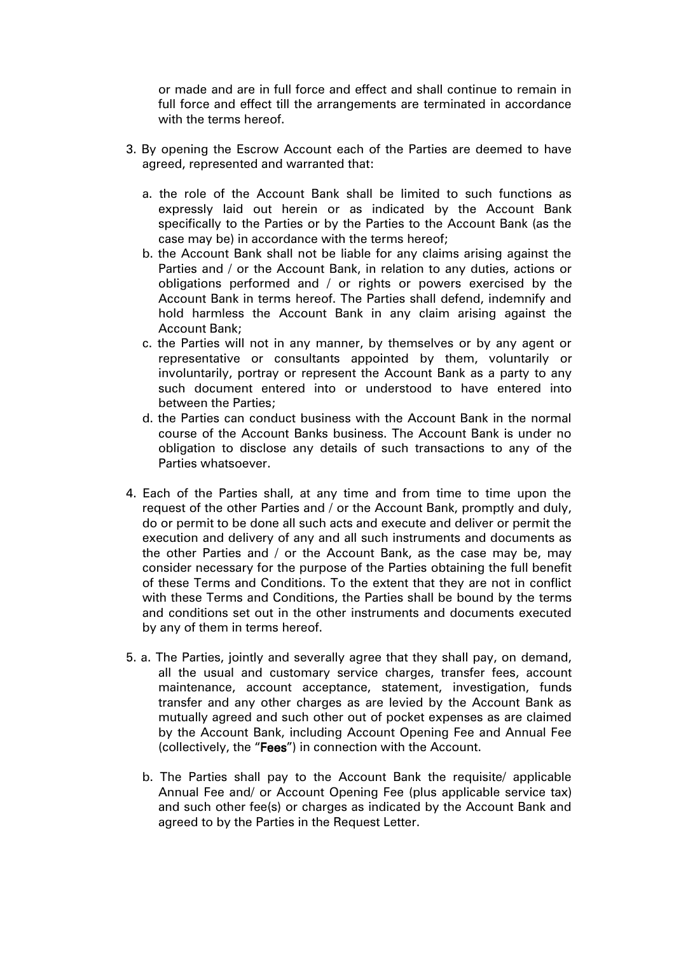or made and are in full force and effect and shall continue to remain in full force and effect till the arrangements are terminated in accordance with the terms hereof.

- 3. By opening the Escrow Account each of the Parties are deemed to have agreed, represented and warranted that:
	- a. the role of the Account Bank shall be limited to such functions as expressly laid out herein or as indicated by the Account Bank specifically to the Parties or by the Parties to the Account Bank (as the case may be) in accordance with the terms hereof;
	- b. the Account Bank shall not be liable for any claims arising against the Parties and / or the Account Bank, in relation to any duties, actions or obligations performed and / or rights or powers exercised by the Account Bank in terms hereof. The Parties shall defend, indemnify and hold harmless the Account Bank in any claim arising against the Account Bank;
	- c. the Parties will not in any manner, by themselves or by any agent or representative or consultants appointed by them, voluntarily or involuntarily, portray or represent the Account Bank as a party to any such document entered into or understood to have entered into between the Parties;
	- d. the Parties can conduct business with the Account Bank in the normal course of the Account Banks business. The Account Bank is under no obligation to disclose any details of such transactions to any of the Parties whatsoever.
- 4. Each of the Parties shall, at any time and from time to time upon the request of the other Parties and / or the Account Bank, promptly and duly, do or permit to be done all such acts and execute and deliver or permit the execution and delivery of any and all such instruments and documents as the other Parties and / or the Account Bank, as the case may be, may consider necessary for the purpose of the Parties obtaining the full benefit of these Terms and Conditions. To the extent that they are not in conflict with these Terms and Conditions, the Parties shall be bound by the terms and conditions set out in the other instruments and documents executed by any of them in terms hereof.
- 5. a. The Parties, jointly and severally agree that they shall pay, on demand, all the usual and customary service charges, transfer fees, account maintenance, account acceptance, statement, investigation, funds transfer and any other charges as are levied by the Account Bank as mutually agreed and such other out of pocket expenses as are claimed by the Account Bank, including Account Opening Fee and Annual Fee (collectively, the "Fees") in connection with the Account.
	- b. The Parties shall pay to the Account Bank the requisite/ applicable Annual Fee and/ or Account Opening Fee (plus applicable service tax) and such other fee(s) or charges as indicated by the Account Bank and agreed to by the Parties in the Request Letter.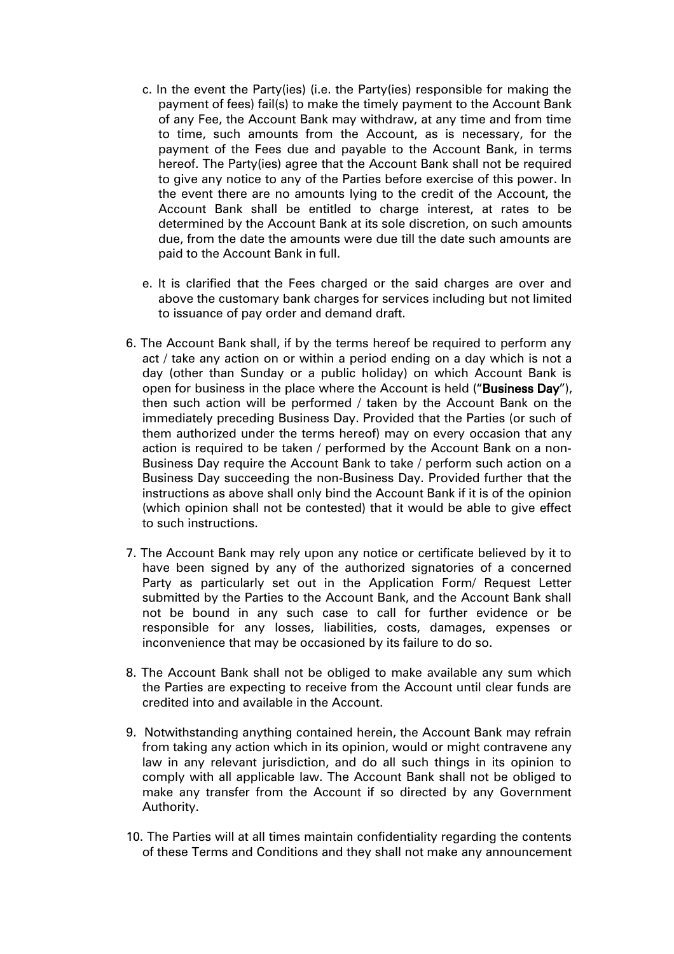- c. In the event the Party(ies) (i.e. the Party(ies) responsible for making the payment of fees) fail(s) to make the timely payment to the Account Bank of any Fee, the Account Bank may withdraw, at any time and from time to time, such amounts from the Account, as is necessary, for the payment of the Fees due and payable to the Account Bank, in terms hereof. The Party(ies) agree that the Account Bank shall not be required to give any notice to any of the Parties before exercise of this power. In the event there are no amounts lying to the credit of the Account, the Account Bank shall be entitled to charge interest, at rates to be determined by the Account Bank at its sole discretion, on such amounts due, from the date the amounts were due till the date such amounts are paid to the Account Bank in full.
- e. It is clarified that the Fees charged or the said charges are over and above the customary bank charges for services including but not limited to issuance of pay order and demand draft.
- 6. The Account Bank shall, if by the terms hereof be required to perform any act / take any action on or within a period ending on a day which is not a day (other than Sunday or a public holiday) on which Account Bank is open for business in the place where the Account is held ("Business Day"), then such action will be performed / taken by the Account Bank on the immediately preceding Business Day. Provided that the Parties (or such of them authorized under the terms hereof) may on every occasion that any action is required to be taken / performed by the Account Bank on a non-Business Day require the Account Bank to take / perform such action on a Business Day succeeding the non-Business Day. Provided further that the instructions as above shall only bind the Account Bank if it is of the opinion (which opinion shall not be contested) that it would be able to give effect to such instructions.
- 7. The Account Bank may rely upon any notice or certificate believed by it to have been signed by any of the authorized signatories of a concerned Party as particularly set out in the Application Form/ Request Letter submitted by the Parties to the Account Bank, and the Account Bank shall not be bound in any such case to call for further evidence or be responsible for any losses, liabilities, costs, damages, expenses or inconvenience that may be occasioned by its failure to do so.
- 8. The Account Bank shall not be obliged to make available any sum which the Parties are expecting to receive from the Account until clear funds are credited into and available in the Account.
- 9. Notwithstanding anything contained herein, the Account Bank may refrain from taking any action which in its opinion, would or might contravene any law in any relevant jurisdiction, and do all such things in its opinion to comply with all applicable law. The Account Bank shall not be obliged to make any transfer from the Account if so directed by any Government Authority.
- 10. The Parties will at all times maintain confidentiality regarding the contents of these Terms and Conditions and they shall not make any announcement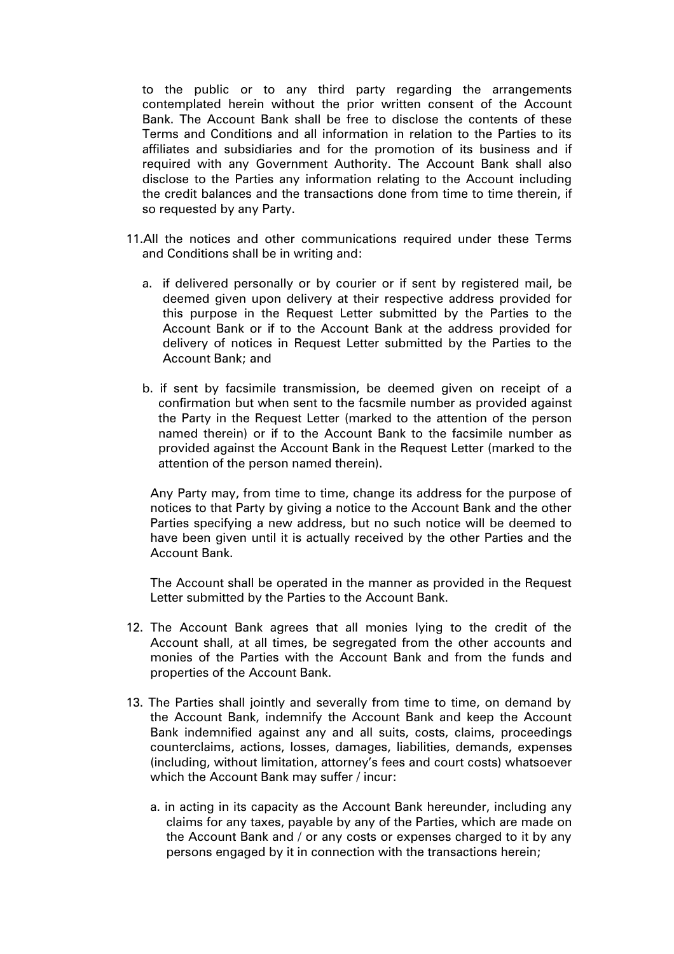to the public or to any third party regarding the arrangements contemplated herein without the prior written consent of the Account Bank. The Account Bank shall be free to disclose the contents of these Terms and Conditions and all information in relation to the Parties to its affiliates and subsidiaries and for the promotion of its business and if required with any Government Authority. The Account Bank shall also disclose to the Parties any information relating to the Account including the credit balances and the transactions done from time to time therein, if so requested by any Party.

- 11.All the notices and other communications required under these Terms and Conditions shall be in writing and:
	- a. if delivered personally or by courier or if sent by registered mail, be deemed given upon delivery at their respective address provided for this purpose in the Request Letter submitted by the Parties to the Account Bank or if to the Account Bank at the address provided for delivery of notices in Request Letter submitted by the Parties to the Account Bank; and
	- b. if sent by facsimile transmission, be deemed given on receipt of a confirmation but when sent to the facsmile number as provided against the Party in the Request Letter (marked to the attention of the person named therein) or if to the Account Bank to the facsimile number as provided against the Account Bank in the Request Letter (marked to the attention of the person named therein).

Any Party may, from time to time, change its address for the purpose of notices to that Party by giving a notice to the Account Bank and the other Parties specifying a new address, but no such notice will be deemed to have been given until it is actually received by the other Parties and the Account Bank.

The Account shall be operated in the manner as provided in the Request Letter submitted by the Parties to the Account Bank.

- 12. The Account Bank agrees that all monies lying to the credit of the Account shall, at all times, be segregated from the other accounts and monies of the Parties with the Account Bank and from the funds and properties of the Account Bank.
- 13. The Parties shall jointly and severally from time to time, on demand by the Account Bank, indemnify the Account Bank and keep the Account Bank indemnified against any and all suits, costs, claims, proceedings counterclaims, actions, losses, damages, liabilities, demands, expenses (including, without limitation, attorney's fees and court costs) whatsoever which the Account Bank may suffer / incur:
	- a. in acting in its capacity as the Account Bank hereunder, including any claims for any taxes, payable by any of the Parties, which are made on the Account Bank and / or any costs or expenses charged to it by any persons engaged by it in connection with the transactions herein;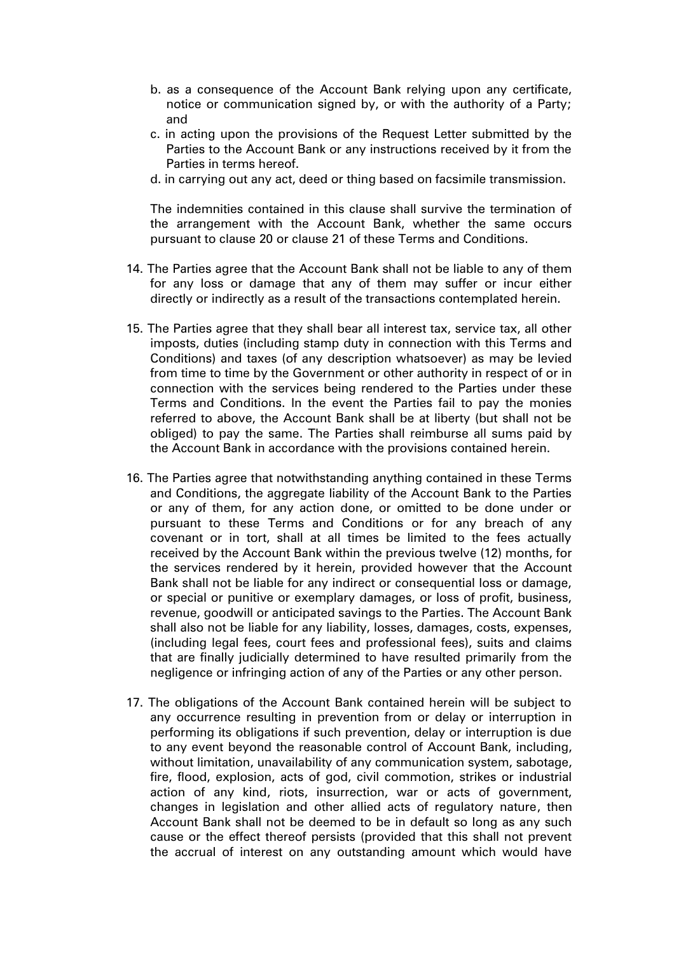- b. as a consequence of the Account Bank relying upon any certificate, notice or communication signed by, or with the authority of a Party; and
- c. in acting upon the provisions of the Request Letter submitted by the Parties to the Account Bank or any instructions received by it from the Parties in terms hereof.
- d. in carrying out any act, deed or thing based on facsimile transmission.

The indemnities contained in this clause shall survive the termination of the arrangement with the Account Bank, whether the same occurs pursuant to clause 20 or clause 21 of these Terms and Conditions.

- 14. The Parties agree that the Account Bank shall not be liable to any of them for any loss or damage that any of them may suffer or incur either directly or indirectly as a result of the transactions contemplated herein.
- 15. The Parties agree that they shall bear all interest tax, service tax, all other imposts, duties (including stamp duty in connection with this Terms and Conditions) and taxes (of any description whatsoever) as may be levied from time to time by the Government or other authority in respect of or in connection with the services being rendered to the Parties under these Terms and Conditions. In the event the Parties fail to pay the monies referred to above, the Account Bank shall be at liberty (but shall not be obliged) to pay the same. The Parties shall reimburse all sums paid by the Account Bank in accordance with the provisions contained herein.
- 16. The Parties agree that notwithstanding anything contained in these Terms and Conditions, the aggregate liability of the Account Bank to the Parties or any of them, for any action done, or omitted to be done under or pursuant to these Terms and Conditions or for any breach of any covenant or in tort, shall at all times be limited to the fees actually received by the Account Bank within the previous twelve (12) months, for the services rendered by it herein, provided however that the Account Bank shall not be liable for any indirect or consequential loss or damage, or special or punitive or exemplary damages, or loss of profit, business, revenue, goodwill or anticipated savings to the Parties. The Account Bank shall also not be liable for any liability, losses, damages, costs, expenses, (including legal fees, court fees and professional fees), suits and claims that are finally judicially determined to have resulted primarily from the negligence or infringing action of any of the Parties or any other person.
- 17. The obligations of the Account Bank contained herein will be subject to any occurrence resulting in prevention from or delay or interruption in performing its obligations if such prevention, delay or interruption is due to any event beyond the reasonable control of Account Bank, including, without limitation, unavailability of any communication system, sabotage, fire, flood, explosion, acts of god, civil commotion, strikes or industrial action of any kind, riots, insurrection, war or acts of government, changes in legislation and other allied acts of regulatory nature, then Account Bank shall not be deemed to be in default so long as any such cause or the effect thereof persists (provided that this shall not prevent the accrual of interest on any outstanding amount which would have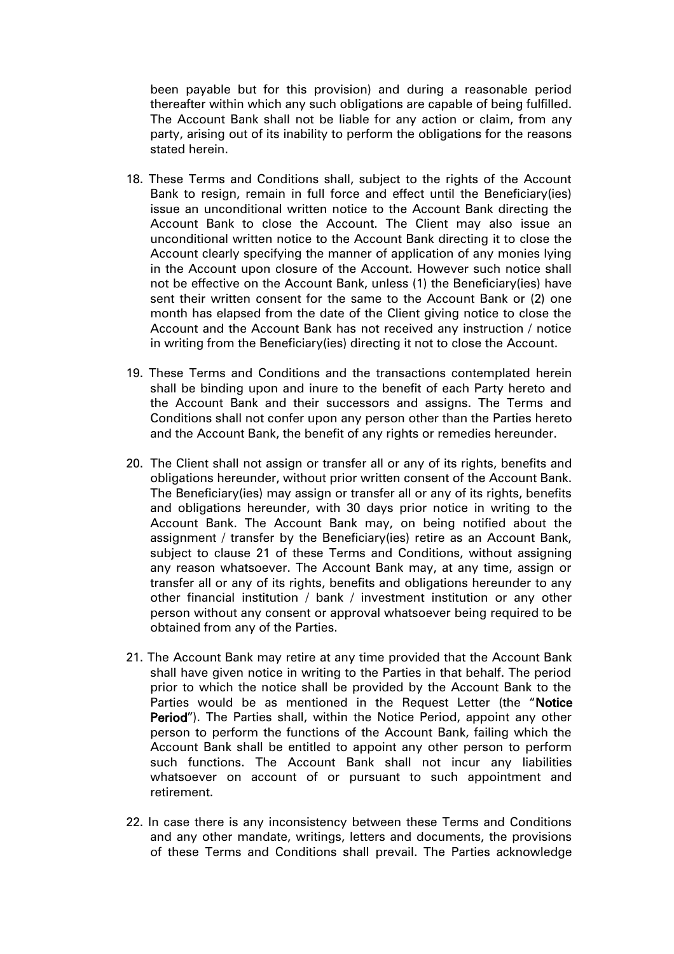been payable but for this provision) and during a reasonable period thereafter within which any such obligations are capable of being fulfilled. The Account Bank shall not be liable for any action or claim, from any party, arising out of its inability to perform the obligations for the reasons stated herein.

- 18. These Terms and Conditions shall, subject to the rights of the Account Bank to resign, remain in full force and effect until the Beneficiary(ies) issue an unconditional written notice to the Account Bank directing the Account Bank to close the Account. The Client may also issue an unconditional written notice to the Account Bank directing it to close the Account clearly specifying the manner of application of any monies lying in the Account upon closure of the Account. However such notice shall not be effective on the Account Bank, unless (1) the Beneficiary(ies) have sent their written consent for the same to the Account Bank or (2) one month has elapsed from the date of the Client giving notice to close the Account and the Account Bank has not received any instruction / notice in writing from the Beneficiary(ies) directing it not to close the Account.
- 19. These Terms and Conditions and the transactions contemplated herein shall be binding upon and inure to the benefit of each Party hereto and the Account Bank and their successors and assigns. The Terms and Conditions shall not confer upon any person other than the Parties hereto and the Account Bank, the benefit of any rights or remedies hereunder.
- 20. The Client shall not assign or transfer all or any of its rights, benefits and obligations hereunder, without prior written consent of the Account Bank. The Beneficiary(ies) may assign or transfer all or any of its rights, benefits and obligations hereunder, with 30 days prior notice in writing to the Account Bank. The Account Bank may, on being notified about the assignment / transfer by the Beneficiary(ies) retire as an Account Bank, subject to clause 21 of these Terms and Conditions, without assigning any reason whatsoever. The Account Bank may, at any time, assign or transfer all or any of its rights, benefits and obligations hereunder to any other financial institution / bank / investment institution or any other person without any consent or approval whatsoever being required to be obtained from any of the Parties.
- 21. The Account Bank may retire at any time provided that the Account Bank shall have given notice in writing to the Parties in that behalf. The period prior to which the notice shall be provided by the Account Bank to the Parties would be as mentioned in the Request Letter (the "Notice Period"). The Parties shall, within the Notice Period, appoint any other person to perform the functions of the Account Bank, failing which the Account Bank shall be entitled to appoint any other person to perform such functions. The Account Bank shall not incur any liabilities whatsoever on account of or pursuant to such appointment and retirement.
- 22. In case there is any inconsistency between these Terms and Conditions and any other mandate, writings, letters and documents, the provisions of these Terms and Conditions shall prevail. The Parties acknowledge